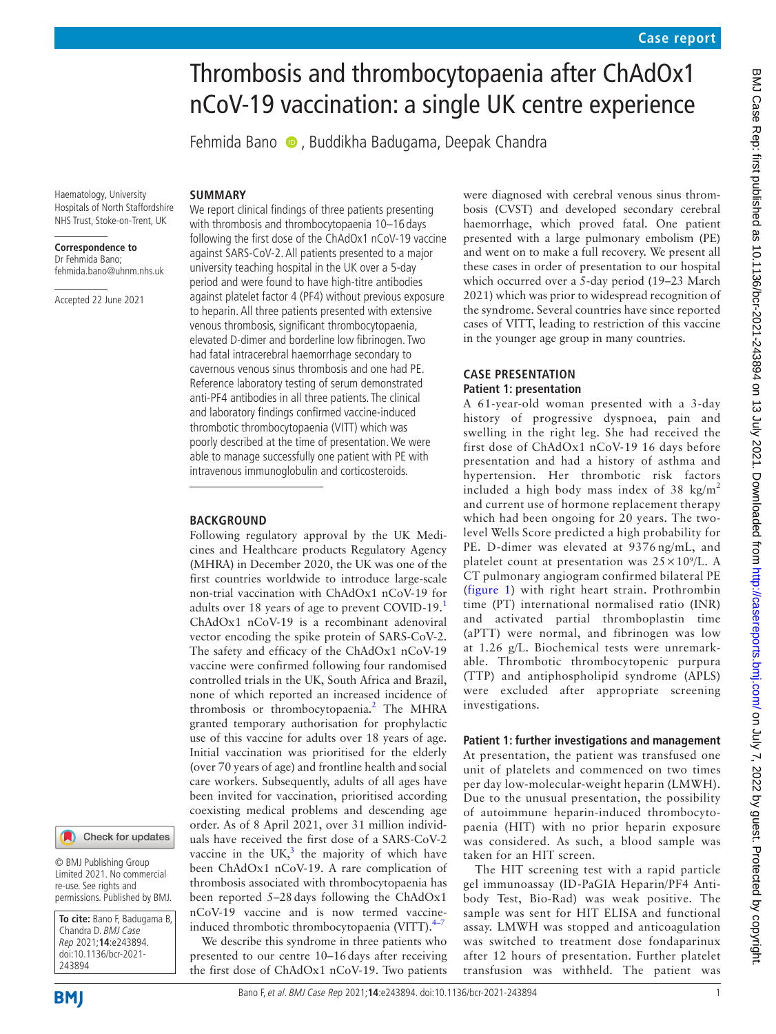# Thrombosis and thrombocytopaenia after ChAdOx1 nCoV-19 vaccination: a single UK centre experience

Fehmida Bano  $\bullet$ , Buddikha Badugama, Deepak Chandra

Haematology, University Hospitals of North Staffordshire NHS Trust, Stoke-on-Trent, UK

#### **Correspondence to** Dr Fehmida Bano; fehmida.bano@uhnm.nhs.uk

Accepted 22 June 2021

We report clinical findings of three patients presenting with thrombosis and thrombocytopaenia 10–16 days following the first dose of the ChAdOx1 nCoV-19 vaccine against SARS-CoV-2. All patients presented to a major university teaching hospital in the UK over a 5-day period and were found to have high-titre antibodies against platelet factor 4 (PF4) without previous exposure to heparin. All three patients presented with extensive venous thrombosis, significant thrombocytopaenia, elevated D-dimer and borderline low fibrinogen. Two had fatal intracerebral haemorrhage secondary to cavernous venous sinus thrombosis and one had PE. Reference laboratory testing of serum demonstrated anti-PF4 antibodies in all three patients. The clinical and laboratory findings confirmed vaccine-induced thrombotic thrombocytopaenia (VITT) which was poorly described at the time of presentation. We were able to manage successfully one patient with PE with intravenous immunoglobulin and corticosteroids.

#### **BACKGROUND**

**SUMMARY**

Following regulatory approval by the UK Medicines and Healthcare products Regulatory Agency (MHRA) in December 2020, the UK was one of the first countries worldwide to introduce large-scale non-trial vaccination with ChAdOx1 nCoV-19 for adults over 18 years of age to prevent COVID-19.[1](#page-4-0) ChAdOx1 nCoV-19 is a recombinant adenoviral vector encoding the spike protein of SARS-CoV-2. The safety and efficacy of the ChAdOx1 nCoV-19 vaccine were confirmed following four randomised controlled trials in the UK, South Africa and Brazil, none of which reported an increased incidence of thrombosis or thrombocytopaenia.<sup>[2](#page-4-1)</sup> The MHRA granted temporary authorisation for prophylactic use of this vaccine for adults over 18 years of age. Initial vaccination was prioritised for the elderly (over 70 years of age) and frontline health and social care workers. Subsequently, adults of all ages have been invited for vaccination, prioritised according coexisting medical problems and descending age order. As of 8 April 2021, over 31 million individuals have received the first dose of a SARS-CoV-2 vaccine in the UK, $3$  the majority of which have been ChAdOx1 nCoV-19. A rare complication of thrombosis associated with thrombocytopaenia has been reported 5–28days following the ChAdOx1 nCoV-19 vaccine and is now termed vaccineinduced thrombotic thrombocytopaenia (VITT). $4-7$ 

We describe this syndrome in three patients who presented to our centre 10–16days after receiving the first dose of ChAdOx1 nCoV-19. Two patients were diagnosed with cerebral venous sinus thrombosis (CVST) and developed secondary cerebral haemorrhage, which proved fatal. One patient presented with a large pulmonary embolism (PE) and went on to make a full recovery. We present all these cases in order of presentation to our hospital which occurred over a 5-day period (19–23 March 2021) which was prior to widespread recognition of the syndrome. Several countries have since reported cases of VITT, leading to restriction of this vaccine in the younger age group in many countries.

# **CASE PRESENTATION Patient 1: presentation**

A 61-year-old woman presented with a 3-day history of progressive dyspnoea, pain and swelling in the right leg. She had received the first dose of ChAdOx1 nCoV-19 16 days before presentation and had a history of asthma and hypertension. Her thrombotic risk factors included a high body mass index of 38  $\text{kg/m}^2$ and current use of hormone replacement therapy which had been ongoing for 20 years. The twolevel Wells Score predicted a high probability for PE. D-dimer was elevated at 9376 ng/mL, and platelet count at presentation was  $25 \times 10^{9}$ /L. A CT pulmonary angiogram confirmed bilateral PE ([figure](#page-1-0) 1) with right heart strain. Prothrombin time (PT) international normalised ratio (INR) and activated partial thromboplastin time (aPTT) were normal, and fibrinogen was low at 1.26 g/L. Biochemical tests were unremarkable. Thrombotic thrombocytopenic purpura (TTP) and antiphospholipid syndrome (APLS) were excluded after appropriate screening investigations.

## **Patient 1: further investigations and management**

At presentation, the patient was transfused one unit of platelets and commenced on two times per day low-molecular-weight heparin (LMWH). Due to the unusual presentation, the possibility of autoimmune heparin-induced thrombocytopaenia (HIT) with no prior heparin exposure was considered. As such, a blood sample was taken for an HIT screen.

The HIT screening test with a rapid particle gel immunoassay (ID-PaGIA Heparin/PF4 Antibody Test, Bio-Rad) was weak positive. The sample was sent for HIT ELISA and functional assay. LMWH was stopped and anticoagulation was switched to treatment dose fondaparinux after 12 hours of presentation. Further platelet transfusion was withheld. The patient was

243894

**To cite:** Bano F, Badugama B, Chandra D. BMJ Case Rep 2021;**14**:e243894. doi:10.1136/bcr-2021-

Check for updates

© BMJ Publishing Group Limited 2021. No commercial re-use. See rights and permissions. Published by BMJ.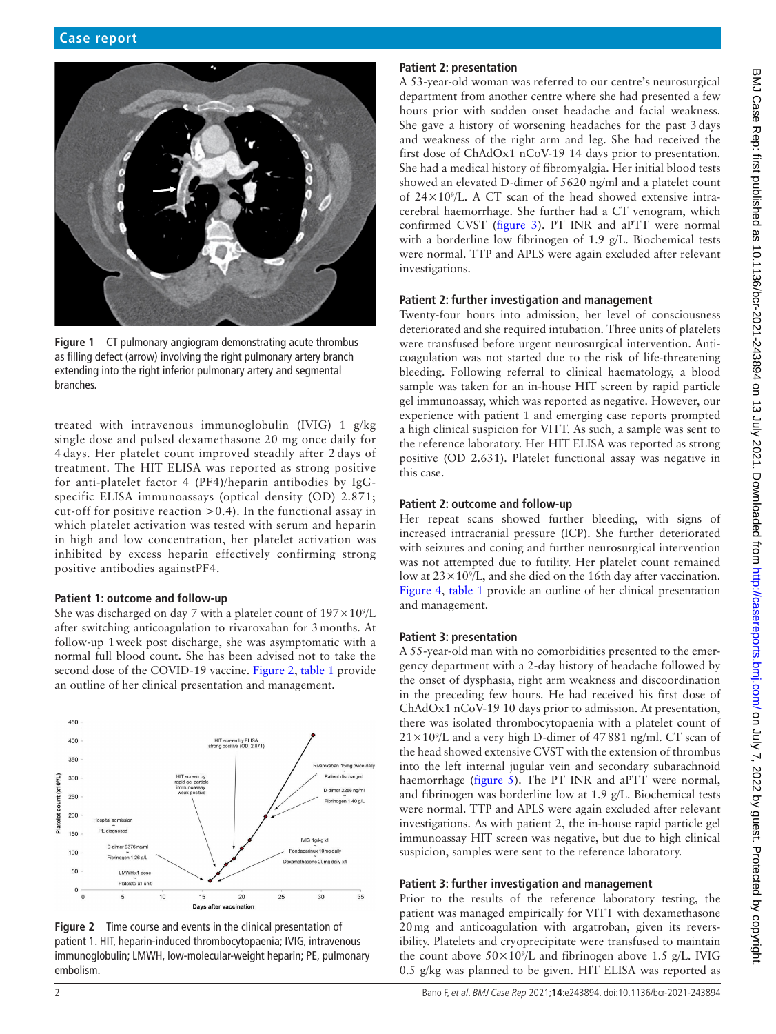

<span id="page-1-0"></span>**Figure 1** CT pulmonary angiogram demonstrating acute thrombus as filling defect (arrow) involving the right pulmonary artery branch extending into the right inferior pulmonary artery and segmental branches.

treated with intravenous immunoglobulin (IVIG) 1 g/kg single dose and pulsed dexamethasone 20 mg once daily for 4 days. Her platelet count improved steadily after 2 days of treatment. The HIT ELISA was reported as strong positive for anti-platelet factor 4 (PF4)/heparin antibodies by IgGspecific ELISA immunoassays (optical density (OD) 2.871; cut-off for positive reaction >0.4). In the functional assay in which platelet activation was tested with serum and heparin in high and low concentration, her platelet activation was inhibited by excess heparin effectively confirming strong positive antibodies againstPF4.

## **Patient 1: outcome and follow-up**

She was discharged on day 7 with a platelet count of  $197 \times 10^{9}/L$ after switching anticoagulation to rivaroxaban for 3months. At follow-up 1week post discharge, she was asymptomatic with a normal full blood count. She has been advised not to take the second dose of the COVID-19 vaccine. [Figure](#page-1-1) 2, [table](#page-2-0) 1 provide an outline of her clinical presentation and management.



<span id="page-1-1"></span>

# **Patient 2: presentation**

A 53-year-old woman was referred to our centre's neurosurgical department from another centre where she had presented a few hours prior with sudden onset headache and facial weakness. She gave a history of worsening headaches for the past 3days and weakness of the right arm and leg. She had received the first dose of ChAdOx1 nCoV-19 14 days prior to presentation. She had a medical history of fibromyalgia. Her initial blood tests showed an elevated D-dimer of 5620 ng/ml and a platelet count of  $24 \times 10^{9}$ /L. A CT scan of the head showed extensive intracerebral haemorrhage. She further had a CT venogram, which confirmed CVST [\(figure](#page-3-0) 3). PT INR and aPTT were normal with a borderline low fibrinogen of 1.9 g/L. Biochemical tests were normal. TTP and APLS were again excluded after relevant investigations.

# **Patient 2: further investigation and management**

Twenty-four hours into admission, her level of consciousness deteriorated and she required intubation. Three units of platelets were transfused before urgent neurosurgical intervention. Anticoagulation was not started due to the risk of life-threatening bleeding. Following referral to clinical haematology, a blood sample was taken for an in-house HIT screen by rapid particle gel immunoassay, which was reported as negative. However, our experience with patient 1 and emerging case reports prompted a high clinical suspicion for VITT. As such, a sample was sent to the reference laboratory. Her HIT ELISA was reported as strong positive (OD 2.631). Platelet functional assay was negative in this case.

# **Patient 2: outcome and follow-up**

Her repeat scans showed further bleeding, with signs of increased intracranial pressure (ICP). She further deteriorated with seizures and coning and further neurosurgical intervention was not attempted due to futility. Her platelet count remained low at  $23 \times 10^9$ /L, and she died on the 16th day after vaccination. [Figure](#page-3-1) 4, [table](#page-2-0) 1 provide an outline of her clinical presentation and management.

# **Patient 3: presentation**

A 55-year-old man with no comorbidities presented to the emergency department with a 2-day history of headache followed by the onset of dysphasia, right arm weakness and discoordination in the preceding few hours. He had received his first dose of ChAdOx1 nCoV-19 10 days prior to admission. At presentation, there was isolated thrombocytopaenia with a platelet count of  $21 \times 10$ <sup>9</sup>/L and a very high D-dimer of 47881 ng/ml. CT scan of the head showed extensive CVST with the extension of thrombus into the left internal jugular vein and secondary subarachnoid haemorrhage ([figure](#page-3-2) 5). The PT INR and aPTT were normal, and fibrinogen was borderline low at 1.9 g/L. Biochemical tests were normal. TTP and APLS were again excluded after relevant investigations. As with patient 2, the in-house rapid particle gel immunoassay HIT screen was negative, but due to high clinical suspicion, samples were sent to the reference laboratory.

# **Patient 3: further investigation and management**

Prior to the results of the reference laboratory testing, the patient was managed empirically for VITT with dexamethasone 20mg and anticoagulation with argatroban, given its reversibility. Platelets and cryoprecipitate were transfused to maintain the count above  $50\times10^{9}/L$  and fibrinogen above 1.5 g/L. IVIG 0.5 g/kg was planned to be given. HIT ELISA was reported as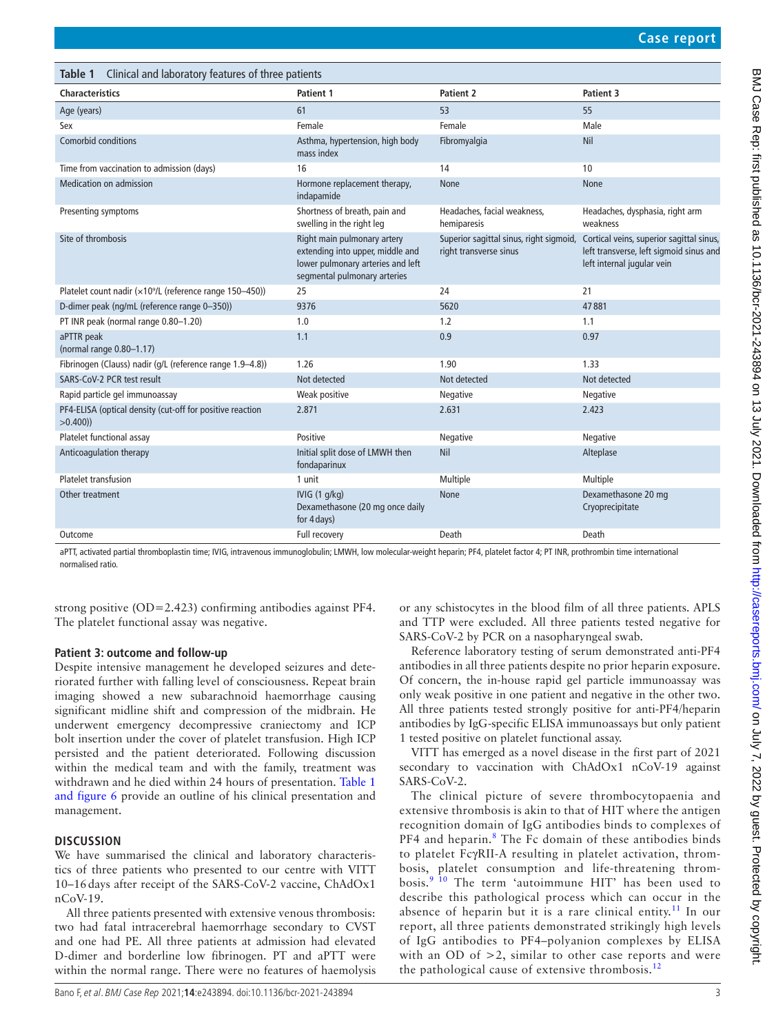<span id="page-2-0"></span>

| Table 1 Clinical and laboratory features of three patients              |                                                                                                                                      |                                                                   |                                                                                                                   |
|-------------------------------------------------------------------------|--------------------------------------------------------------------------------------------------------------------------------------|-------------------------------------------------------------------|-------------------------------------------------------------------------------------------------------------------|
| <b>Characteristics</b>                                                  | <b>Patient 1</b>                                                                                                                     | <b>Patient 2</b>                                                  | Patient 3                                                                                                         |
| Age (years)                                                             | 61                                                                                                                                   | 53                                                                | 55                                                                                                                |
| Sex                                                                     | Female                                                                                                                               | Female                                                            | Male                                                                                                              |
| Comorbid conditions                                                     | Asthma, hypertension, high body<br>mass index                                                                                        | Fibromyalgia                                                      | Nil                                                                                                               |
| Time from vaccination to admission (days)                               | 16                                                                                                                                   | 14                                                                | 10                                                                                                                |
| <b>Medication on admission</b>                                          | Hormone replacement therapy,<br>indapamide                                                                                           | None                                                              | None                                                                                                              |
| Presenting symptoms                                                     | Shortness of breath, pain and<br>swelling in the right leg                                                                           | Headaches, facial weakness,<br>hemiparesis                        | Headaches, dysphasia, right arm<br>weakness                                                                       |
| Site of thrombosis                                                      | Right main pulmonary artery<br>extending into upper, middle and<br>lower pulmonary arteries and left<br>segmental pulmonary arteries | Superior sagittal sinus, right sigmoid,<br>right transverse sinus | Cortical veins, superior sagittal sinus,<br>left transverse, left sigmoid sinus and<br>left internal jugular vein |
| Platelet count nadir (x10 <sup>9</sup> /L (reference range 150-450))    | 25                                                                                                                                   | 24                                                                | 21                                                                                                                |
| D-dimer peak (ng/mL (reference range 0-350))                            | 9376                                                                                                                                 | 5620                                                              | 47881                                                                                                             |
| PT INR peak (normal range 0.80-1.20)                                    | 1.0                                                                                                                                  | 1.2                                                               | 1.1                                                                                                               |
| aPTTR peak<br>(normal range 0.80-1.17)                                  | 1.1                                                                                                                                  | 0.9                                                               | 0.97                                                                                                              |
| Fibrinogen (Clauss) nadir (g/L (reference range 1.9-4.8))               | 1.26                                                                                                                                 | 1.90                                                              | 1.33                                                                                                              |
| SARS-CoV-2 PCR test result                                              | Not detected                                                                                                                         | Not detected                                                      | Not detected                                                                                                      |
| Rapid particle gel immunoassay                                          | Weak positive                                                                                                                        | Negative                                                          | Negative                                                                                                          |
| PF4-ELISA (optical density (cut-off for positive reaction<br>$>0.400$ ) | 2.871                                                                                                                                | 2.631                                                             | 2.423                                                                                                             |
| Platelet functional assay                                               | Positive                                                                                                                             | Negative                                                          | Negative                                                                                                          |
| Anticoagulation therapy                                                 | Initial split dose of LMWH then<br>fondaparinux                                                                                      | Nil                                                               | Alteplase                                                                                                         |
| <b>Platelet transfusion</b>                                             | 1 unit                                                                                                                               | Multiple                                                          | Multiple                                                                                                          |
| Other treatment                                                         | IVIG (1 g/kg)<br>Dexamethasone (20 mg once daily<br>for 4 days)                                                                      | None                                                              | Dexamethasone 20 mg<br>Cryoprecipitate                                                                            |
| Outcome                                                                 | Full recovery                                                                                                                        | Death                                                             | Death                                                                                                             |

aPTT, activated partial thromboplastin time; IVIG, intravenous immunoglobulin; LMWH, low molecular-weight heparin; PF4, platelet factor 4; PT INR, prothrombin time international normalised ratio.

strong positive (OD=2.423) confirming antibodies against PF4. The platelet functional assay was negative.

## **Patient 3: outcome and follow-up**

Despite intensive management he developed seizures and deteriorated further with falling level of consciousness. Repeat brain imaging showed a new subarachnoid haemorrhage causing significant midline shift and compression of the midbrain. He underwent emergency decompressive craniectomy and ICP bolt insertion under the cover of platelet transfusion. High ICP persisted and the patient deteriorated. Following discussion within the medical team and with the family, treatment was withdrawn and he died within 24 hours of presentation. [Table](#page-3-3) 1 [and figure](#page-3-3) 6 provide an outline of his clinical presentation and management.

# **DISCUSSION**

We have summarised the clinical and laboratory characteristics of three patients who presented to our centre with VITT 10–16days after receipt of the SARS-CoV-2 vaccine, ChAdOx1 nCoV-19.

All three patients presented with extensive venous thrombosis: two had fatal intracerebral haemorrhage secondary to CVST and one had PE. All three patients at admission had elevated D-dimer and borderline low fibrinogen. PT and aPTT were within the normal range. There were no features of haemolysis or any schistocytes in the blood film of all three patients. APLS and TTP were excluded. All three patients tested negative for SARS-CoV-2 by PCR on a nasopharyngeal swab.

Reference laboratory testing of serum demonstrated anti-PF4 antibodies in all three patients despite no prior heparin exposure. Of concern, the in-house rapid gel particle immunoassay was only weak positive in one patient and negative in the other two. All three patients tested strongly positive for anti-PF4/heparin antibodies by IgG-specific ELISA immunoassays but only patient 1 tested positive on platelet functional assay.

VITT has emerged as a novel disease in the first part of 2021 secondary to vaccination with ChAdOx1 nCoV-19 against SARS-CoV-2.

The clinical picture of severe thrombocytopaenia and extensive thrombosis is akin to that of HIT where the antigen recognition domain of IgG antibodies binds to complexes of PF4 and heparin.<sup>[8](#page-4-4)</sup> The Fc domain of these antibodies binds to platelet FcγRII-A resulting in platelet activation, thrombosis, platelet consumption and life-threatening thrombosis.<sup>9</sup> <sup>10</sup> The term 'autoimmune HIT' has been used to describe this pathological process which can occur in the absence of heparin but it is a rare clinical entity.<sup>11</sup> In our report, all three patients demonstrated strikingly high levels of IgG antibodies to PF4–polyanion complexes by ELISA with an OD of  $>2$ , similar to other case reports and were the pathological cause of extensive thrombosis. $^{12}$  $^{12}$  $^{12}$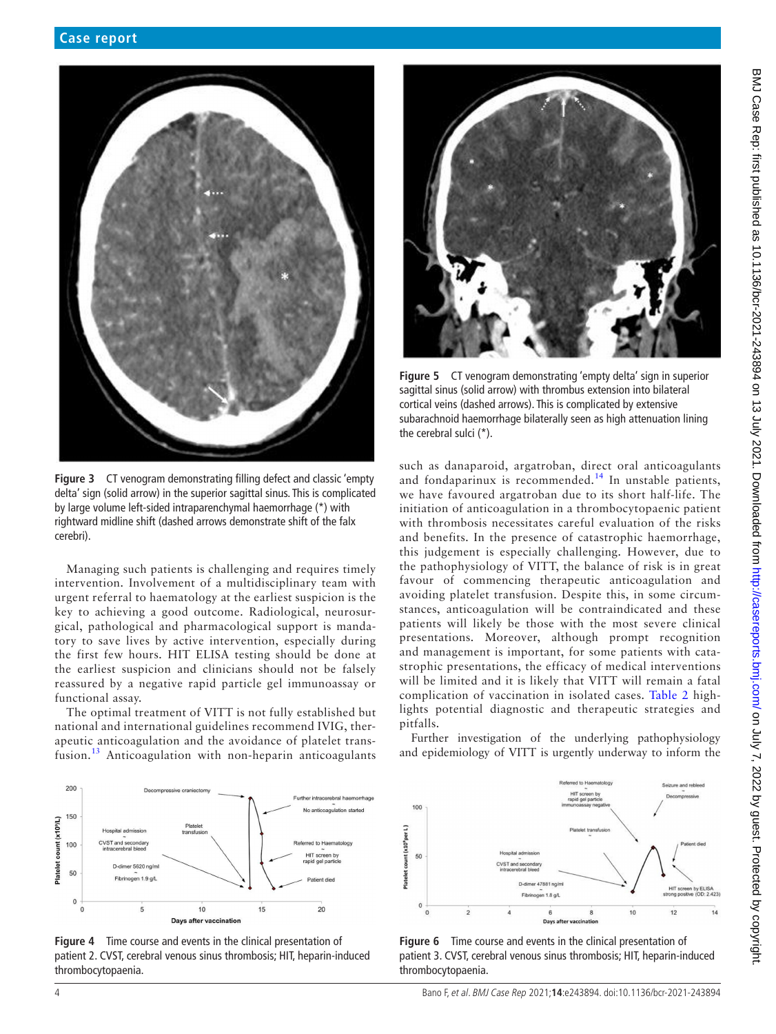

**Figure 3** CT venogram demonstrating filling defect and classic 'empty delta' sign (solid arrow) in the superior sagittal sinus. This is complicated by large volume left-sided intraparenchymal haemorrhage (\*) with rightward midline shift (dashed arrows demonstrate shift of the falx cerebri).

<span id="page-3-0"></span>Managing such patients is challenging and requires timely intervention. Involvement of a multidisciplinary team with urgent referral to haematology at the earliest suspicion is the key to achieving a good outcome. Radiological, neurosurgical, pathological and pharmacological support is mandatory to save lives by active intervention, especially during the first few hours. HIT ELISA testing should be done at the earliest suspicion and clinicians should not be falsely reassured by a negative rapid particle gel immunoassay or functional assay.

The optimal treatment of VITT is not fully established but national and international guidelines recommend IVIG, therapeutic anticoagulation and the avoidance of platelet transfusion.[13](#page-4-8) Anticoagulation with non-heparin anticoagulants



<span id="page-3-1"></span>



**Figure 5** CT venogram demonstrating 'empty delta' sign in superior sagittal sinus (solid arrow) with thrombus extension into bilateral cortical veins (dashed arrows). This is complicated by extensive subarachnoid haemorrhage bilaterally seen as high attenuation lining the cerebral sulci (\*).

<span id="page-3-2"></span>such as danaparoid, argatroban, direct oral anticoagulants and fondaparinux is recommended.<sup>14</sup> In unstable patients, we have favoured argatroban due to its short half-life. The initiation of anticoagulation in a thrombocytopaenic patient with thrombosis necessitates careful evaluation of the risks and benefits. In the presence of catastrophic haemorrhage, this judgement is especially challenging. However, due to the pathophysiology of VITT, the balance of risk is in great favour of commencing therapeutic anticoagulation and avoiding platelet transfusion. Despite this, in some circumstances, anticoagulation will be contraindicated and these patients will likely be those with the most severe clinical presentations. Moreover, although prompt recognition and management is important, for some patients with catastrophic presentations, the efficacy of medical interventions will be limited and it is likely that VITT will remain a fatal complication of vaccination in isolated cases. [Table](#page-4-10) 2 highlights potential diagnostic and therapeutic strategies and pitfalls.

Further investigation of the underlying pathophysiology and epidemiology of VITT is urgently underway to inform the



<span id="page-3-3"></span>**Figure 6** Time course and events in the clinical presentation of patient 3. CVST, cerebral venous sinus thrombosis; HIT, heparin-induced thrombocytopaenia.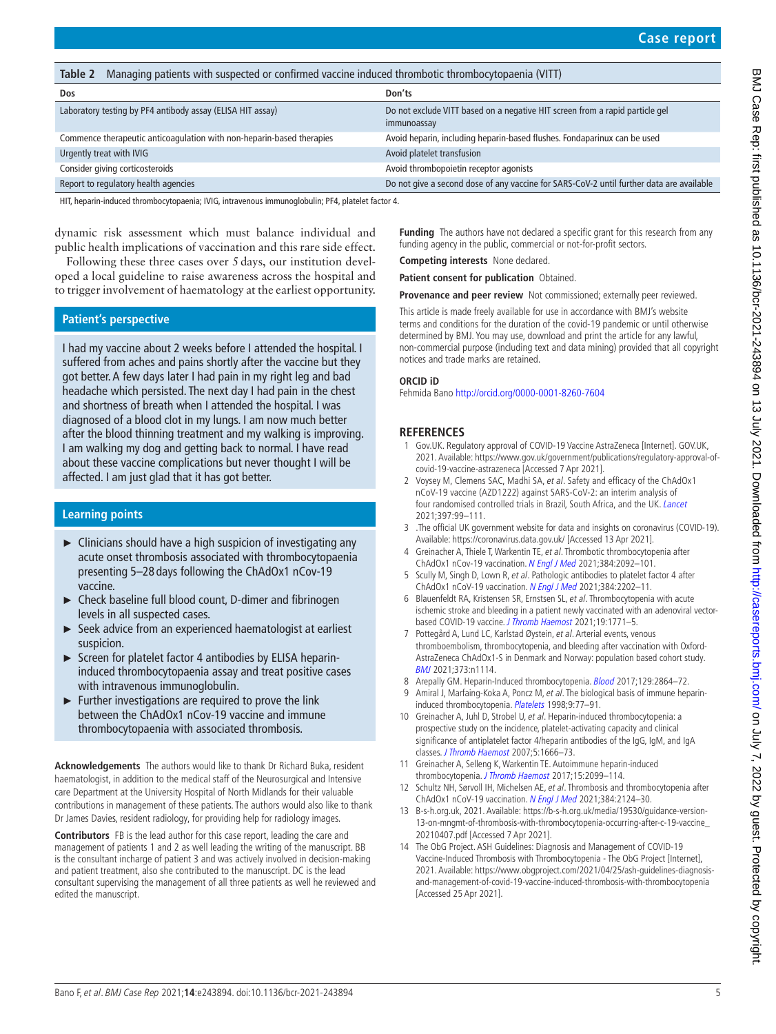<span id="page-4-10"></span>

| Managing patients with suspected or confirmed vaccine induced thrombotic thrombocytopaenia (VITT)<br>Table 2 |                                                                                             |  |
|--------------------------------------------------------------------------------------------------------------|---------------------------------------------------------------------------------------------|--|
| Dos                                                                                                          | Don'ts                                                                                      |  |
| Laboratory testing by PF4 antibody assay (ELISA HIT assay)                                                   | Do not exclude VITT based on a negative HIT screen from a rapid particle gel<br>immunoassay |  |
| Commence therapeutic anticoagulation with non-heparin-based therapies                                        | Avoid heparin, including heparin-based flushes. Fondaparinux can be used                    |  |
| Urgently treat with IVIG                                                                                     | Avoid platelet transfusion                                                                  |  |
| Consider giving corticosteroids                                                                              | Avoid thrombopoietin receptor agonists                                                      |  |
| Report to regulatory health agencies                                                                         | Do not give a second dose of any vaccine for SARS-CoV-2 until further data are available    |  |

HIT, heparin-induced thrombocytopaenia; IVIG, intravenous immunoglobulin; PF4, platelet factor 4.

dynamic risk assessment which must balance individual and public health implications of vaccination and this rare side effect.

Following these three cases over 5 days, our institution developed a local guideline to raise awareness across the hospital and to trigger involvement of haematology at the earliest opportunity.

# **Patient's perspective**

I had my vaccine about 2 weeks before I attended the hospital. I suffered from aches and pains shortly after the vaccine but they got better. A few days later I had pain in my right leg and bad headache which persisted. The next day I had pain in the chest and shortness of breath when I attended the hospital. I was diagnosed of a blood clot in my lungs. I am now much better after the blood thinning treatment and my walking is improving. I am walking my dog and getting back to normal. I have read about these vaccine complications but never thought I will be affected. I am just glad that it has got better.

## **Learning points**

- ► Clinicians should have a high suspicion of investigating any acute onset thrombosis associated with thrombocytopaenia presenting 5–28 days following the ChAdOx1 nCov-19 vaccine.
- ► Check baseline full blood count, D-dimer and fibrinogen levels in all suspected cases.
- ► Seek advice from an experienced haematologist at earliest suspicion.
- ► Screen for platelet factor 4 antibodies by ELISA heparininduced thrombocytopaenia assay and treat positive cases with intravenous immunoglobulin.
- $\blacktriangleright$  Further investigations are required to prove the link between the ChAdOx1 nCov-19 vaccine and immune thrombocytopaenia with associated thrombosis.

**Acknowledgements** The authors would like to thank Dr Richard Buka, resident haematologist, in addition to the medical staff of the Neurosurgical and Intensive care Department at the University Hospital of North Midlands for their valuable contributions in management of these patients. The authors would also like to thank Dr James Davies, resident radiology, for providing help for radiology images.

**Contributors** FB is the lead author for this case report, leading the care and management of patients 1 and 2 as well leading the writing of the manuscript. BB is the consultant incharge of patient 3 and was actively involved in decision-making and patient treatment, also she contributed to the manuscript. DC is the lead consultant supervising the management of all three patients as well he reviewed and edited the manuscript.

**Funding** The authors have not declared a specific grant for this research from any funding agency in the public, commercial or not-for-profit sectors.

**Competing interests** None declared.

**Patient consent for publication** Obtained.

**Provenance and peer review** Not commissioned; externally peer reviewed.

This article is made freely available for use in accordance with BMJ's website terms and conditions for the duration of the covid-19 pandemic or until otherwise determined by BMJ. You may use, download and print the article for any lawful, non-commercial purpose (including text and data mining) provided that all copyright notices and trade marks are retained.

#### **ORCID iD**

Fehmida Bano <http://orcid.org/0000-0001-8260-7604>

#### **REFERENCES**

- <span id="page-4-0"></span>1 Gov.UK. Regulatory approval of COVID-19 Vaccine AstraZeneca [Internet]. GOV.UK, 2021. Available: [https://www.gov.uk/government/publications/regulatory-approval-of](https://www.gov.uk/government/publications/regulatory-approval-of-covid-19-vaccine-astrazeneca)[covid-19-vaccine-astrazeneca](https://www.gov.uk/government/publications/regulatory-approval-of-covid-19-vaccine-astrazeneca) [Accessed 7 Apr 2021].
- <span id="page-4-1"></span>2 Voysey M, Clemens SAC, Madhi SA, et al. Safety and efficacy of the ChAdOx1 nCoV-19 vaccine (AZD1222) against SARS-CoV-2: an interim analysis of four randomised controlled trials in Brazil, South Africa, and the UK. [Lancet](http://dx.doi.org/10.1016/S0140-6736(20)32661-1) 2021;397:99–111.
- <span id="page-4-2"></span>3 .The official UK government website for data and insights on coronavirus (COVID-19). Available:<https://coronavirus.data.gov.uk/>[Accessed 13 Apr 2021].
- <span id="page-4-3"></span>4 Greinacher A, Thiele T, Warkentin TE, et al. Thrombotic thrombocytopenia after ChAdOx1 nCov-19 vaccination. [N Engl J Med](http://dx.doi.org/10.1056/NEJMoa2104840) 2021;384:2092–101.
- 5 Scully M, Singh D, Lown R, et al. Pathologic antibodies to platelet factor 4 after ChAdOx1 nCoV-19 vaccination. [N Engl J Med](http://dx.doi.org/10.1056/NEJMoa2105385) 2021;384:2202–11.
- 6 Blauenfeldt RA, Kristensen SR, Ernstsen SL, et al. Thrombocytopenia with acute ischemic stroke and bleeding in a patient newly vaccinated with an adenoviral vectorbased COVID-19 vaccine. [J Thromb Haemost](http://dx.doi.org/10.1111/jth.15347) 2021;19:1771–5.
- 7 Pottegård A, Lund LC, Karlstad Øystein, et al. Arterial events, venous thromboembolism, thrombocytopenia, and bleeding after vaccination with Oxford-AstraZeneca ChAdOx1-S in Denmark and Norway: population based cohort study. [BMJ](http://dx.doi.org/10.1136/bmj.n1114) 2021;373:n1114.
- <span id="page-4-4"></span>8 Arepally GM. Heparin-Induced thrombocytopenia. [Blood](http://dx.doi.org/10.1182/blood-2016-11-709873) 2017;129:2864-72.
- <span id="page-4-5"></span>Amiral J, Marfaing-Koka A, Poncz M, et al. The biological basis of immune heparin-induced thrombocytopenia. [Platelets](http://dx.doi.org/10.1080/09537109876843) 1998;9:77-91.
- 10 Greinacher A, Juhl D, Strobel U, et al. Heparin-induced thrombocytopenia: a prospective study on the incidence, platelet-activating capacity and clinical significance of antiplatelet factor 4/heparin antibodies of the IgG, IgM, and IgA classes. [J Thromb Haemost](http://dx.doi.org/10.1111/j.1538-7836.2007.02617.x) 2007;5:1666–73.
- <span id="page-4-6"></span>11 Greinacher A, Selleng K, Warkentin TE. Autoimmune heparin-induced thrombocytopenia. [J Thromb Haemost](http://dx.doi.org/10.1111/jth.13813) 2017;15:2099–114.
- <span id="page-4-7"></span>12 Schultz NH, Sørvoll IH, Michelsen AE, et al. Thrombosis and thrombocytopenia after ChAdOx1 nCoV-19 vaccination. [N Engl J Med](http://dx.doi.org/10.1056/NEJMoa2104882) 2021;384:2124-30.
- <span id="page-4-8"></span>13 B-s-h.org.uk, 2021. Available: [https://b-s-h.org.uk/media/19530/guidance-version-](https://b-s-h.org.uk/media/19530/guidance-version-13-on-mngmt-of-thrombosis-with-thrombocytopenia-occurring-after-c-19-vaccine_20210407.pdf)[13-on-mngmt-of-thrombosis-with-thrombocytopenia-occurring-after-c-19-vaccine\\_](https://b-s-h.org.uk/media/19530/guidance-version-13-on-mngmt-of-thrombosis-with-thrombocytopenia-occurring-after-c-19-vaccine_20210407.pdf) [20210407.pdf](https://b-s-h.org.uk/media/19530/guidance-version-13-on-mngmt-of-thrombosis-with-thrombocytopenia-occurring-after-c-19-vaccine_20210407.pdf) [Accessed 7 Apr 2021].
- <span id="page-4-9"></span>14 The ObG Project. ASH Guidelines: Diagnosis and Management of COVID-19 Vaccine-Induced Thrombosis with Thrombocytopenia - The ObG Project [Internet], 2021. Available: [https://www.obgproject.com/2021/04/25/ash-guidelines-diagnosis](https://www.obgproject.com/2021/04/25/ash-guidelines-diagnosis-and-management-of-covid-19-vaccine-induced-thrombosis-with-thrombocytopenia)[and-management-of-covid-19-vaccine-induced-thrombosis-with-thrombocytopenia](https://www.obgproject.com/2021/04/25/ash-guidelines-diagnosis-and-management-of-covid-19-vaccine-induced-thrombosis-with-thrombocytopenia)  [Accessed 25 Apr 2021].